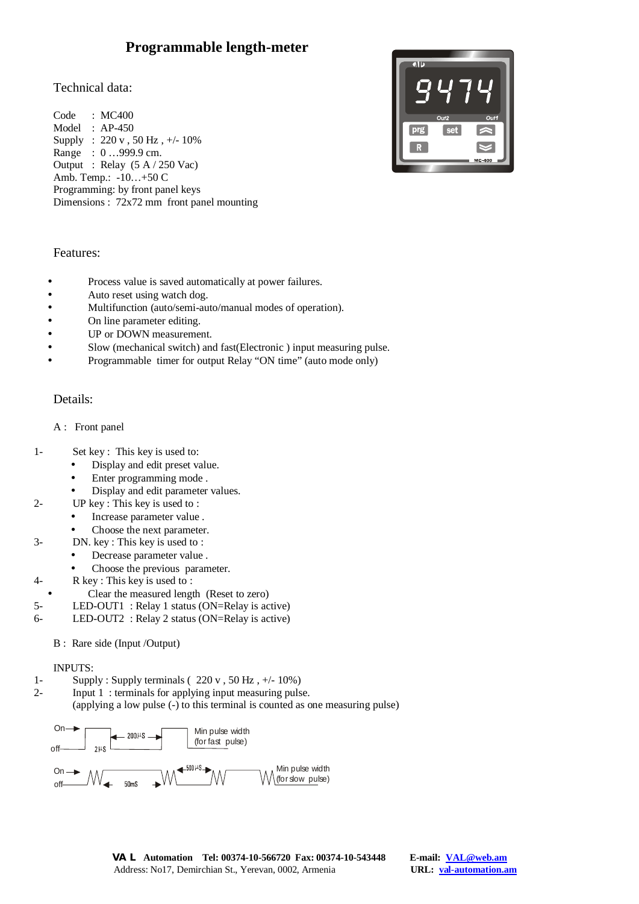# **Programmable length-meter**

# Technical data:

Code : MC400 Model : AP-450 Supply : 220 v , 50 Hz , +/- 10% Range : 0 …999.9 cm. Output : Relay (5 A / 250 Vac) Amb. Temp.: -10…+50 C Programming: by front panel keys Dimensions : 72x72 mm front panel mounting



## Features:

- Process value is saved automatically at power failures.
- Auto reset using watch dog.
- Multifunction (auto/semi-auto/manual modes of operation).
- On line parameter editing.
- UP or DOWN measurement.
- Slow (mechanical switch) and fast(Electronic ) input measuring pulse.
- Programmable timer for output Relay "ON time" (auto mode only)

# Details:

## A : Front panel

- 1- Set key : This key is used to:
	- Display and edit preset value.
	- Enter programming mode.
	- Display and edit parameter values.
- 2- UP key : This key is used to :
	- Increase parameter value .
	- Choose the next parameter.
- 3- DN. key : This key is used to :
	- Decrease parameter value .
	- Choose the previous parameter.
- 4- R key : This key is used to :
	- Clear the measured length (Reset to zero)
- 5- LED-OUT1 : Relay 1 status (ON=Relay is active)
- 6- LED-OUT2 : Relay 2 status (ON=Relay is active)
	- B : Rare side (Input /Output)

#### INPUTS:

- 1- Supply : Supply terminals  $(220 \text{ v}, 50 \text{ Hz}, +/- 10\%)$
- 2- Input 1 : terminals for applying input measuring pulse.

(applying a low pulse (-) to this terminal is counted as one measuring pulse)

On 
$$
\rightarrow
$$
 20014S  $\rightarrow$  20014S  $\rightarrow$  140S  $\rightarrow$  20014S  $\rightarrow$  20014S  $\rightarrow$  20014S  $\rightarrow$  20014S  $\rightarrow$  20014S  $\rightarrow$  20014S  $\rightarrow$  20014S  $\rightarrow$  20014S  $\rightarrow$  20014S  $\rightarrow$  20014S  $\rightarrow$  20014S  $\rightarrow$  20014S  $\rightarrow$  20014S  $\rightarrow$  20014S  $\rightarrow$  20014S  $\rightarrow$  20014S  $\rightarrow$  20014S  $\rightarrow$  20014S  $\rightarrow$  20014S  $\rightarrow$  20014S  $\rightarrow$  20014S  $\rightarrow$  20014S  $\rightarrow$  20014S  $\rightarrow$  20014S  $\rightarrow$  20014S  $\rightarrow$  20014S  $\rightarrow$  20014S  $\rightarrow$  20014S  $\rightarrow$  20014S  $\rightarrow$  20014S  $\rightarrow$  20014S  $\rightarrow$  20014S  $\rightarrow$  20014S  $\rightarrow$  20014S  $\rightarrow$  20014S  $\rightarrow$  20014S  $\rightarrow$  20014S  $\rightarrow$  20014S  $\rightarrow$  20014S  $\rightarrow$  20014S  $\rightarrow$  20014S  $\rightarrow$  20014S <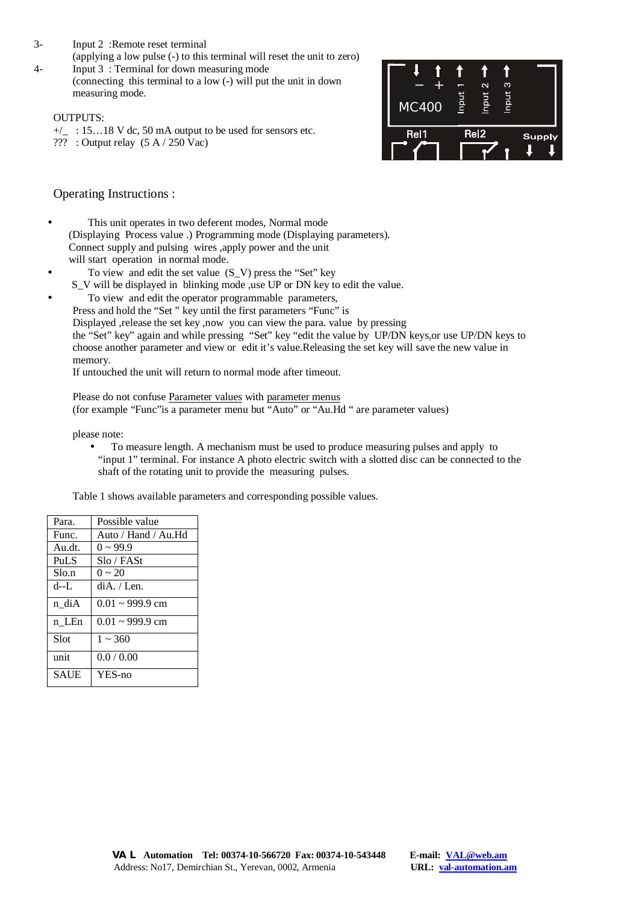- 3- Input 2 :Remote reset terminal
- (applying a low pulse (-) to this terminal will reset the unit to zero) 4- Input 3 : Terminal for down measuring mode
	- (connecting this terminal to a low (-) will put the unit in down measuring mode.

## OUTPUTS:

- $+/-$ : 15…18 V dc, 50 mA output to be used for sensors etc.
- ??? : Output relay (5 A / 250 Vac)



Operating Instructions :

- This unit operates in two deferent modes, Normal mode (Displaying Process value .) Programming mode (Displaying parameters). Connect supply and pulsing wires ,apply power and the unit will start operation in normal mode.
- To view and edit the set value (S\_V) press the "Set" key
	- S\_V will be displayed in blinking mode ,use UP or DN key to edit the value.
	- To view and edit the operator programmable parameters,
		- Press and hold the "Set " key until the first parameters "Func" is
		- Displayed ,release the set key ,now you can view the para. value by pressing
		- the "Set" key" again and while pressing "Set" key "edit the value by UP/DN keys,or use UP/DN keys to choose another parameter and view or edit it's value.Releasing the set key will save the new value in memory.

If untouched the unit will return to normal mode after timeout.

Please do not confuse Parameter values with parameter menus (for example "Func"is a parameter menu but "Auto" or "Au.Hd " are parameter values)

please note:

• To measure length. A mechanism must be used to produce measuring pulses and apply to "input 1" terminal. For instance A photo electric switch with a slotted disc can be connected to the shaft of the rotating unit to provide the measuring pulses.

Table 1 shows available parameters and corresponding possible values.

| Para.       | Possible value          |
|-------------|-------------------------|
| Func.       | Auto / Hand / Au.Hd     |
| Au.dt.      | $0 \sim 99.9$           |
| <b>PuLS</b> | Slo / FASt              |
| Slo.n       | $0 \sim 20$             |
| d--L        | $diA$ . / Len.          |
| n diA       | $0.01 \approx 999.9$ cm |
| n LEn       | $0.01 \approx 999.9$ cm |
| Slot        | $1 \sim 360$            |
| unit        | 0.0 / 0.00              |
| <b>SAUE</b> | YES-no                  |